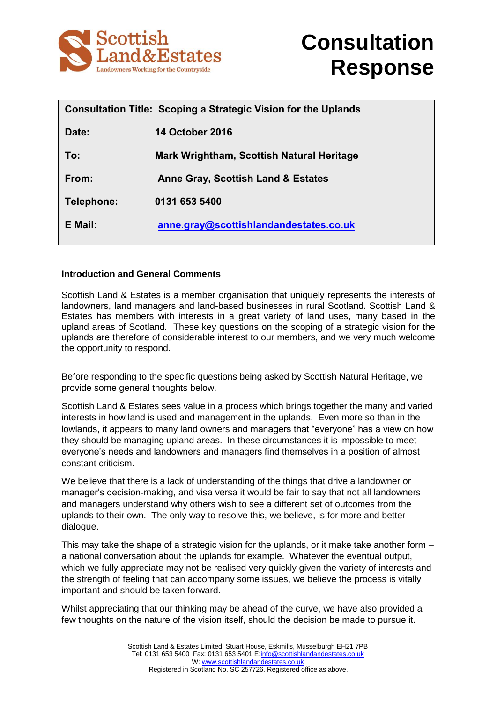



|            | Consultation Title: Scoping a Strategic Vision for the Uplands |
|------------|----------------------------------------------------------------|
| Date:      | <u>14 October 2016</u>                                         |
| To:        | Mark Wrightham, Scottish Natural Heritage                      |
| From:      | Anne Gray, Scottish Land & Estates                             |
| Telephone: | 0131 653 5400                                                  |
| E Mail:    | anne.gray@scottishlandandestates.co.uk                         |

#### **Introduction and General Comments**

Scottish Land & Estates is a member organisation that uniquely represents the interests of landowners, land managers and land-based businesses in rural Scotland. Scottish Land & Estates has members with interests in a great variety of land uses, many based in the upland areas of Scotland. These key questions on the scoping of a strategic vision for the uplands are therefore of considerable interest to our members, and we very much welcome the opportunity to respond.

Before responding to the specific questions being asked by Scottish Natural Heritage, we provide some general thoughts below.

Scottish Land & Estates sees value in a process which brings together the many and varied interests in how land is used and management in the uplands. Even more so than in the lowlands, it appears to many land owners and managers that "everyone" has a view on how they should be managing upland areas. In these circumstances it is impossible to meet everyone's needs and landowners and managers find themselves in a position of almost constant criticism.

We believe that there is a lack of understanding of the things that drive a landowner or manager's decision-making, and visa versa it would be fair to say that not all landowners and managers understand why others wish to see a different set of outcomes from the uplands to their own. The only way to resolve this, we believe, is for more and better dialogue.

This may take the shape of a strategic vision for the uplands, or it make take another form – a national conversation about the uplands for example. Whatever the eventual output, which we fully appreciate may not be realised very quickly given the variety of interests and the strength of feeling that can accompany some issues, we believe the process is vitally important and should be taken forward.

Whilst appreciating that our thinking may be ahead of the curve, we have also provided a few thoughts on the nature of the vision itself, should the decision be made to pursue it.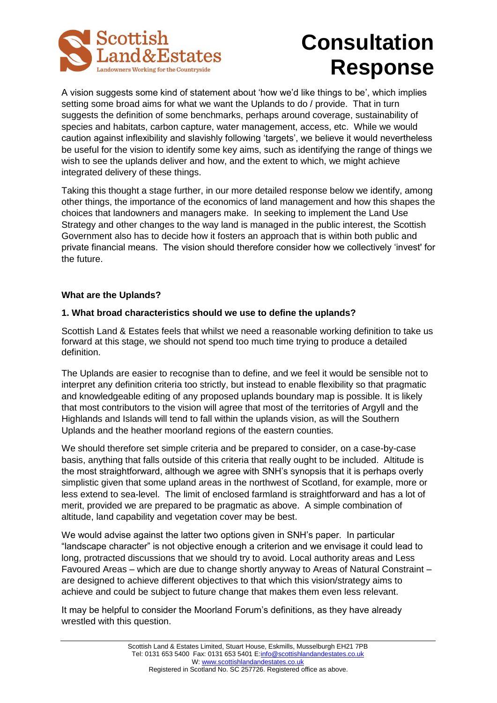

A vision suggests some kind of statement about 'how we'd like things to be', which implies setting some broad aims for what we want the Uplands to do / provide. That in turn suggests the definition of some benchmarks, perhaps around coverage, sustainability of species and habitats, carbon capture, water management, access, etc. While we would caution against inflexibility and slavishly following 'targets', we believe it would nevertheless be useful for the vision to identify some key aims, such as identifying the range of things we wish to see the uplands deliver and how, and the extent to which, we might achieve integrated delivery of these things.

Taking this thought a stage further, in our more detailed response below we identify, among other things, the importance of the economics of land management and how this shapes the choices that landowners and managers make. In seeking to implement the Land Use Strategy and other changes to the way land is managed in the public interest, the Scottish Government also has to decide how it fosters an approach that is within both public and private financial means. The vision should therefore consider how we collectively 'invest' for the future.

#### **What are the Uplands?**

#### **1. What broad characteristics should we use to define the uplands?**

Scottish Land & Estates feels that whilst we need a reasonable working definition to take us forward at this stage, we should not spend too much time trying to produce a detailed definition.

The Uplands are easier to recognise than to define, and we feel it would be sensible not to interpret any definition criteria too strictly, but instead to enable flexibility so that pragmatic and knowledgeable editing of any proposed uplands boundary map is possible. It is likely that most contributors to the vision will agree that most of the territories of Argyll and the Highlands and Islands will tend to fall within the uplands vision, as will the Southern Uplands and the heather moorland regions of the eastern counties.

We should therefore set simple criteria and be prepared to consider, on a case-by-case basis, anything that falls outside of this criteria that really ought to be included. Altitude is the most straightforward, although we agree with SNH's synopsis that it is perhaps overly simplistic given that some upland areas in the northwest of Scotland, for example, more or less extend to sea-level. The limit of enclosed farmland is straightforward and has a lot of merit, provided we are prepared to be pragmatic as above. A simple combination of altitude, land capability and vegetation cover may be best.

We would advise against the latter two options given in SNH's paper. In particular "landscape character" is not objective enough a criterion and we envisage it could lead to long, protracted discussions that we should try to avoid. Local authority areas and Less Favoured Areas – which are due to change shortly anyway to Areas of Natural Constraint – are designed to achieve different objectives to that which this vision/strategy aims to achieve and could be subject to future change that makes them even less relevant.

It may be helpful to consider the Moorland Forum's definitions, as they have already wrestled with this question.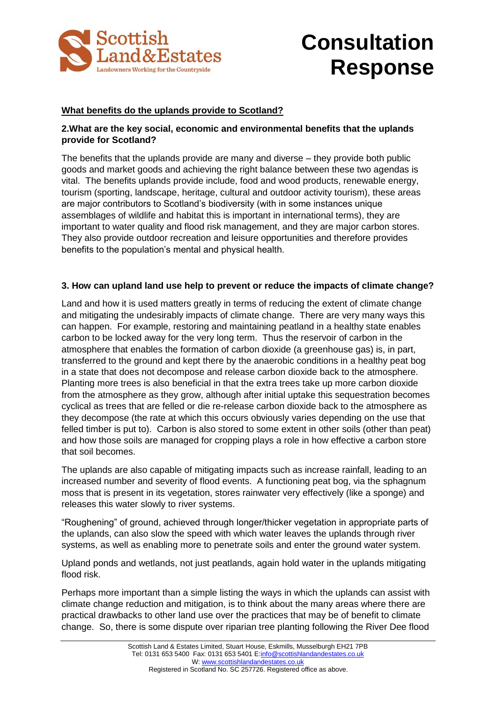

### **What benefits do the uplands provide to Scotland?**

#### **2.What are the key social, economic and environmental benefits that the uplands provide for Scotland?**

The benefits that the uplands provide are many and diverse – they provide both public goods and market goods and achieving the right balance between these two agendas is vital. The benefits uplands provide include, food and wood products, renewable energy, tourism (sporting, landscape, heritage, cultural and outdoor activity tourism), these areas are major contributors to Scotland's biodiversity (with in some instances unique assemblages of wildlife and habitat this is important in international terms), they are important to water quality and flood risk management, and they are major carbon stores. They also provide outdoor recreation and leisure opportunities and therefore provides benefits to the population's mental and physical health.

#### **3. How can upland land use help to prevent or reduce the impacts of climate change?**

Land and how it is used matters greatly in terms of reducing the extent of climate change and mitigating the undesirably impacts of climate change. There are very many ways this can happen. For example, restoring and maintaining peatland in a healthy state enables carbon to be locked away for the very long term. Thus the reservoir of carbon in the atmosphere that enables the formation of carbon dioxide (a greenhouse gas) is, in part, transferred to the ground and kept there by the anaerobic conditions in a healthy peat bog in a state that does not decompose and release carbon dioxide back to the atmosphere. Planting more trees is also beneficial in that the extra trees take up more carbon dioxide from the atmosphere as they grow, although after initial uptake this sequestration becomes cyclical as trees that are felled or die re-release carbon dioxide back to the atmosphere as they decompose (the rate at which this occurs obviously varies depending on the use that felled timber is put to). Carbon is also stored to some extent in other soils (other than peat) and how those soils are managed for cropping plays a role in how effective a carbon store that soil becomes.

The uplands are also capable of mitigating impacts such as increase rainfall, leading to an increased number and severity of flood events. A functioning peat bog, via the sphagnum moss that is present in its vegetation, stores rainwater very effectively (like a sponge) and releases this water slowly to river systems.

"Roughening" of ground, achieved through longer/thicker vegetation in appropriate parts of the uplands, can also slow the speed with which water leaves the uplands through river systems, as well as enabling more to penetrate soils and enter the ground water system.

Upland ponds and wetlands, not just peatlands, again hold water in the uplands mitigating flood risk.

Perhaps more important than a simple listing the ways in which the uplands can assist with climate change reduction and mitigation, is to think about the many areas where there are practical drawbacks to other land use over the practices that may be of benefit to climate change. So, there is some dispute over riparian tree planting following the River Dee flood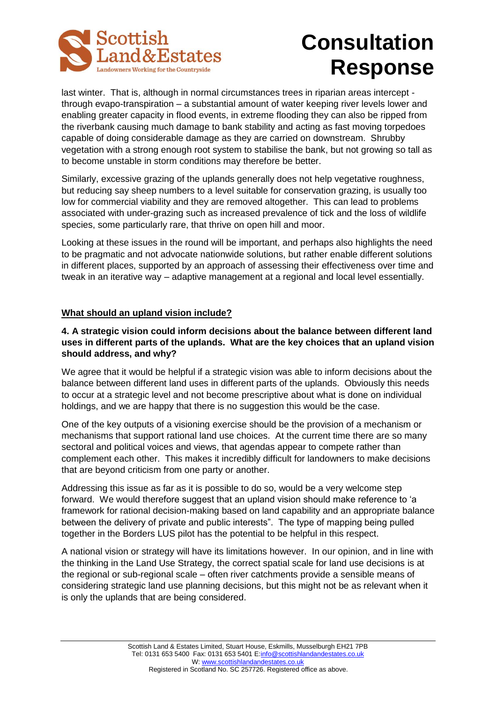

last winter. That is, although in normal circumstances trees in riparian areas intercept through evapo-transpiration – a substantial amount of water keeping river levels lower and enabling greater capacity in flood events, in extreme flooding they can also be ripped from the riverbank causing much damage to bank stability and acting as fast moving torpedoes capable of doing considerable damage as they are carried on downstream. Shrubby vegetation with a strong enough root system to stabilise the bank, but not growing so tall as to become unstable in storm conditions may therefore be better.

Similarly, excessive grazing of the uplands generally does not help vegetative roughness, but reducing say sheep numbers to a level suitable for conservation grazing, is usually too low for commercial viability and they are removed altogether. This can lead to problems associated with under-grazing such as increased prevalence of tick and the loss of wildlife species, some particularly rare, that thrive on open hill and moor.

Looking at these issues in the round will be important, and perhaps also highlights the need to be pragmatic and not advocate nationwide solutions, but rather enable different solutions in different places, supported by an approach of assessing their effectiveness over time and tweak in an iterative way – adaptive management at a regional and local level essentially.

#### **What should an upland vision include?**

#### **4. A strategic vision could inform decisions about the balance between different land uses in different parts of the uplands. What are the key choices that an upland vision should address, and why?**

We agree that it would be helpful if a strategic vision was able to inform decisions about the balance between different land uses in different parts of the uplands. Obviously this needs to occur at a strategic level and not become prescriptive about what is done on individual holdings, and we are happy that there is no suggestion this would be the case.

One of the key outputs of a visioning exercise should be the provision of a mechanism or mechanisms that support rational land use choices. At the current time there are so many sectoral and political voices and views, that agendas appear to compete rather than complement each other. This makes it incredibly difficult for landowners to make decisions that are beyond criticism from one party or another.

Addressing this issue as far as it is possible to do so, would be a very welcome step forward. We would therefore suggest that an upland vision should make reference to 'a framework for rational decision-making based on land capability and an appropriate balance between the delivery of private and public interests". The type of mapping being pulled together in the Borders LUS pilot has the potential to be helpful in this respect.

A national vision or strategy will have its limitations however. In our opinion, and in line with the thinking in the Land Use Strategy, the correct spatial scale for land use decisions is at the regional or sub-regional scale – often river catchments provide a sensible means of considering strategic land use planning decisions, but this might not be as relevant when it is only the uplands that are being considered.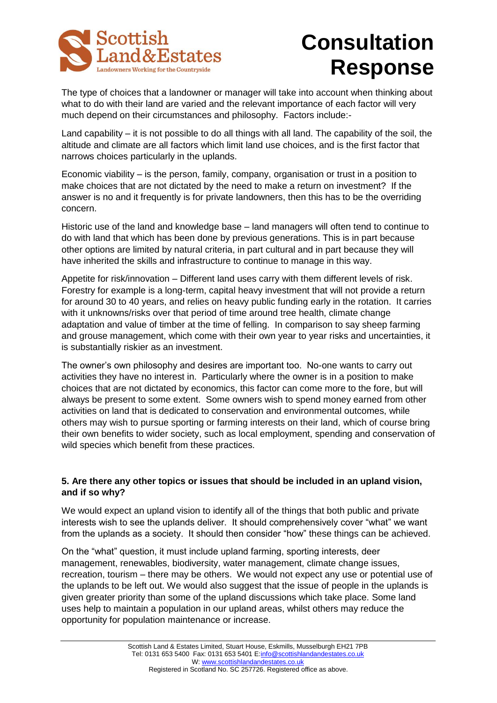

The type of choices that a landowner or manager will take into account when thinking about what to do with their land are varied and the relevant importance of each factor will very much depend on their circumstances and philosophy. Factors include:-

Land capability – it is not possible to do all things with all land. The capability of the soil, the altitude and climate are all factors which limit land use choices, and is the first factor that narrows choices particularly in the uplands.

Economic viability – is the person, family, company, organisation or trust in a position to make choices that are not dictated by the need to make a return on investment? If the answer is no and it frequently is for private landowners, then this has to be the overriding concern.

Historic use of the land and knowledge base – land managers will often tend to continue to do with land that which has been done by previous generations. This is in part because other options are limited by natural criteria, in part cultural and in part because they will have inherited the skills and infrastructure to continue to manage in this way.

Appetite for risk/innovation – Different land uses carry with them different levels of risk. Forestry for example is a long-term, capital heavy investment that will not provide a return for around 30 to 40 years, and relies on heavy public funding early in the rotation. It carries with it unknowns/risks over that period of time around tree health, climate change adaptation and value of timber at the time of felling. In comparison to say sheep farming and grouse management, which come with their own year to year risks and uncertainties, it is substantially riskier as an investment.

The owner's own philosophy and desires are important too. No-one wants to carry out activities they have no interest in. Particularly where the owner is in a position to make choices that are not dictated by economics, this factor can come more to the fore, but will always be present to some extent. Some owners wish to spend money earned from other activities on land that is dedicated to conservation and environmental outcomes, while others may wish to pursue sporting or farming interests on their land, which of course bring their own benefits to wider society, such as local employment, spending and conservation of wild species which benefit from these practices.

#### **5. Are there any other topics or issues that should be included in an upland vision, and if so why?**

We would expect an upland vision to identify all of the things that both public and private interests wish to see the uplands deliver. It should comprehensively cover "what" we want from the uplands as a society. It should then consider "how" these things can be achieved.

On the "what" question, it must include upland farming, sporting interests, deer management, renewables, biodiversity, water management, climate change issues, recreation, tourism – there may be others. We would not expect any use or potential use of the uplands to be left out. We would also suggest that the issue of people in the uplands is given greater priority than some of the upland discussions which take place. Some land uses help to maintain a population in our upland areas, whilst others may reduce the opportunity for population maintenance or increase.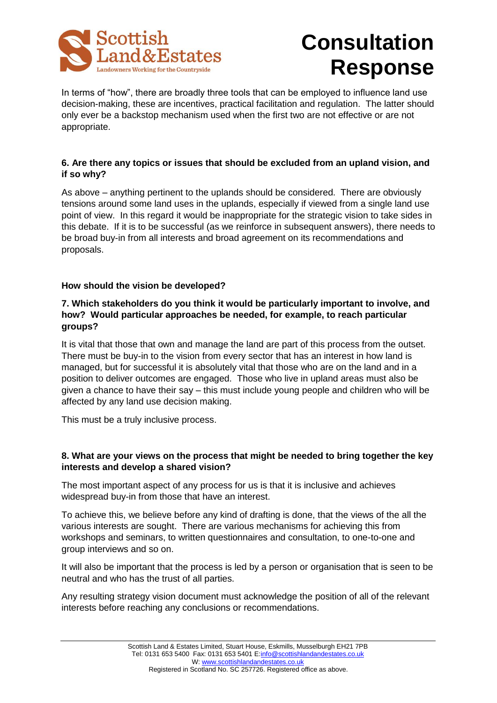

In terms of "how", there are broadly three tools that can be employed to influence land use decision-making, these are incentives, practical facilitation and regulation. The latter should only ever be a backstop mechanism used when the first two are not effective or are not appropriate.

### **6. Are there any topics or issues that should be excluded from an upland vision, and if so why?**

As above – anything pertinent to the uplands should be considered. There are obviously tensions around some land uses in the uplands, especially if viewed from a single land use point of view. In this regard it would be inappropriate for the strategic vision to take sides in this debate. If it is to be successful (as we reinforce in subsequent answers), there needs to be broad buy-in from all interests and broad agreement on its recommendations and proposals.

## **How should the vision be developed?**

## **7. Which stakeholders do you think it would be particularly important to involve, and how? Would particular approaches be needed, for example, to reach particular groups?**

It is vital that those that own and manage the land are part of this process from the outset. There must be buy-in to the vision from every sector that has an interest in how land is managed, but for successful it is absolutely vital that those who are on the land and in a position to deliver outcomes are engaged. Those who live in upland areas must also be given a chance to have their say – this must include young people and children who will be affected by any land use decision making.

This must be a truly inclusive process.

## **8. What are your views on the process that might be needed to bring together the key interests and develop a shared vision?**

The most important aspect of any process for us is that it is inclusive and achieves widespread buy-in from those that have an interest.

To achieve this, we believe before any kind of drafting is done, that the views of the all the various interests are sought. There are various mechanisms for achieving this from workshops and seminars, to written questionnaires and consultation, to one-to-one and group interviews and so on.

It will also be important that the process is led by a person or organisation that is seen to be neutral and who has the trust of all parties.

Any resulting strategy vision document must acknowledge the position of all of the relevant interests before reaching any conclusions or recommendations.